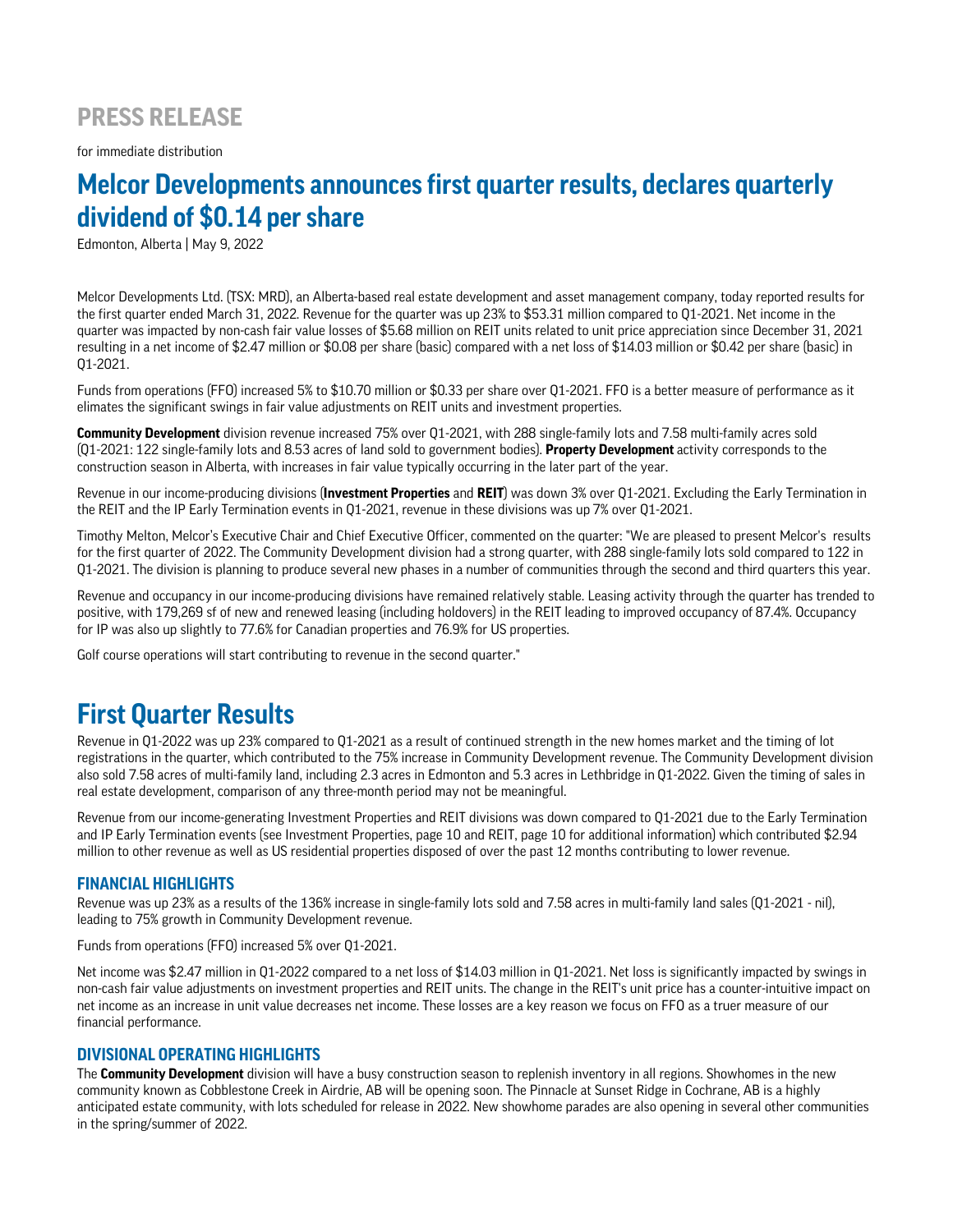## **PRESS RELEASE**

for immediate distribution

# **Melcor Developments announces first quarter results, declares quarterly dividend of \$0.14 per share**

Edmonton, Alberta | May 9, 2022

Melcor Developments Ltd. (TSX: MRD), an Alberta-based real estate development and asset management company, today reported results for the first quarter ended March 31, 2022. Revenue for the quarter was up 23% to \$53.31 million compared to Q1-2021. Net income in the quarter was impacted by non-cash fair value losses of \$5.68 million on REIT units related to unit price appreciation since December 31, 2021 resulting in a net income of \$2.47 million or \$0.08 per share (basic) compared with a net loss of \$14.03 million or \$0.42 per share (basic) in Q1-2021.

Funds from operations (FFO) increased 5% to \$10.70 million or \$0.33 per share over Q1-2021. FFO is a better measure of performance as it elimates the significant swings in fair value adjustments on REIT units and investment properties.

**Community Development** division revenue increased 75% over Q1-2021, with 288 single-family lots and 7.58 multi-family acres sold (Q1-2021: 122 single-family lots and 8.53 acres of land sold to government bodies). **Property Development** activity corresponds to the construction season in Alberta, with increases in fair value typically occurring in the later part of the year.

Revenue in our income-producing divisions (**Investment Properties** and **REIT**) was down 3% over Q1-2021. Excluding the Early Termination in the REIT and the IP Early Termination events in Q1-2021, revenue in these divisions was up 7% over Q1-2021.

Timothy Melton, Melcor's Executive Chair and Chief Executive Officer, commented on the quarter: "We are pleased to present Melcor's results for the first quarter of 2022. The Community Development division had a strong quarter, with 288 single-family lots sold compared to 122 in Q1-2021. The division is planning to produce several new phases in a number of communities through the second and third quarters this year.

Revenue and occupancy in our income-producing divisions have remained relatively stable. Leasing activity through the quarter has trended to positive, with 179,269 sf of new and renewed leasing (including holdovers) in the REIT leading to improved occupancy of 87.4%. Occupancy for IP was also up slightly to 77.6% for Canadian properties and 76.9% for US properties.

Golf course operations will start contributing to revenue in the second quarter."

## **First Quarter Results**

Revenue in Q1-2022 was up 23% compared to Q1-2021 as a result of continued strength in the new homes market and the timing of lot registrations in the quarter, which contributed to the 75% increase in Community Development revenue. The Community Development division also sold 7.58 acres of multi-family land, including 2.3 acres in Edmonton and 5.3 acres in Lethbridge in Q1-2022. Given the timing of sales in real estate development, comparison of any three-month period may not be meaningful.

Revenue from our income-generating Investment Properties and REIT divisions was down compared to Q1-2021 due to the Early Termination and IP Early Termination events (see Investment Properties, page 10 and REIT, page 10 for additional information) which contributed \$2.94 million to other revenue as well as US residential properties disposed of over the past 12 months contributing to lower revenue.

## **FINANCIAL HIGHLIGHTS**

Revenue was up 23% as a results of the 136% increase in single-family lots sold and 7.58 acres in multi-family land sales (Q1-2021 - nil), leading to 75% growth in Community Development revenue.

Funds from operations (FFO) increased 5% over Q1-2021.

Net income was \$2.47 million in Q1-2022 compared to a net loss of \$14.03 million in Q1-2021. Net loss is significantly impacted by swings in non-cash fair value adjustments on investment properties and REIT units. The change in the REIT's unit price has a counter-intuitive impact on net income as an increase in unit value decreases net income. These losses are a key reason we focus on FFO as a truer measure of our financial performance.

### **DIVISIONAL OPERATING HIGHLIGHTS**

The **Community Development** division will have a busy construction season to replenish inventory in all regions. Showhomes in the new community known as Cobblestone Creek in Airdrie, AB will be opening soon. The Pinnacle at Sunset Ridge in Cochrane, AB is a highly anticipated estate community, with lots scheduled for release in 2022. New showhome parades are also opening in several other communities in the spring/summer of 2022.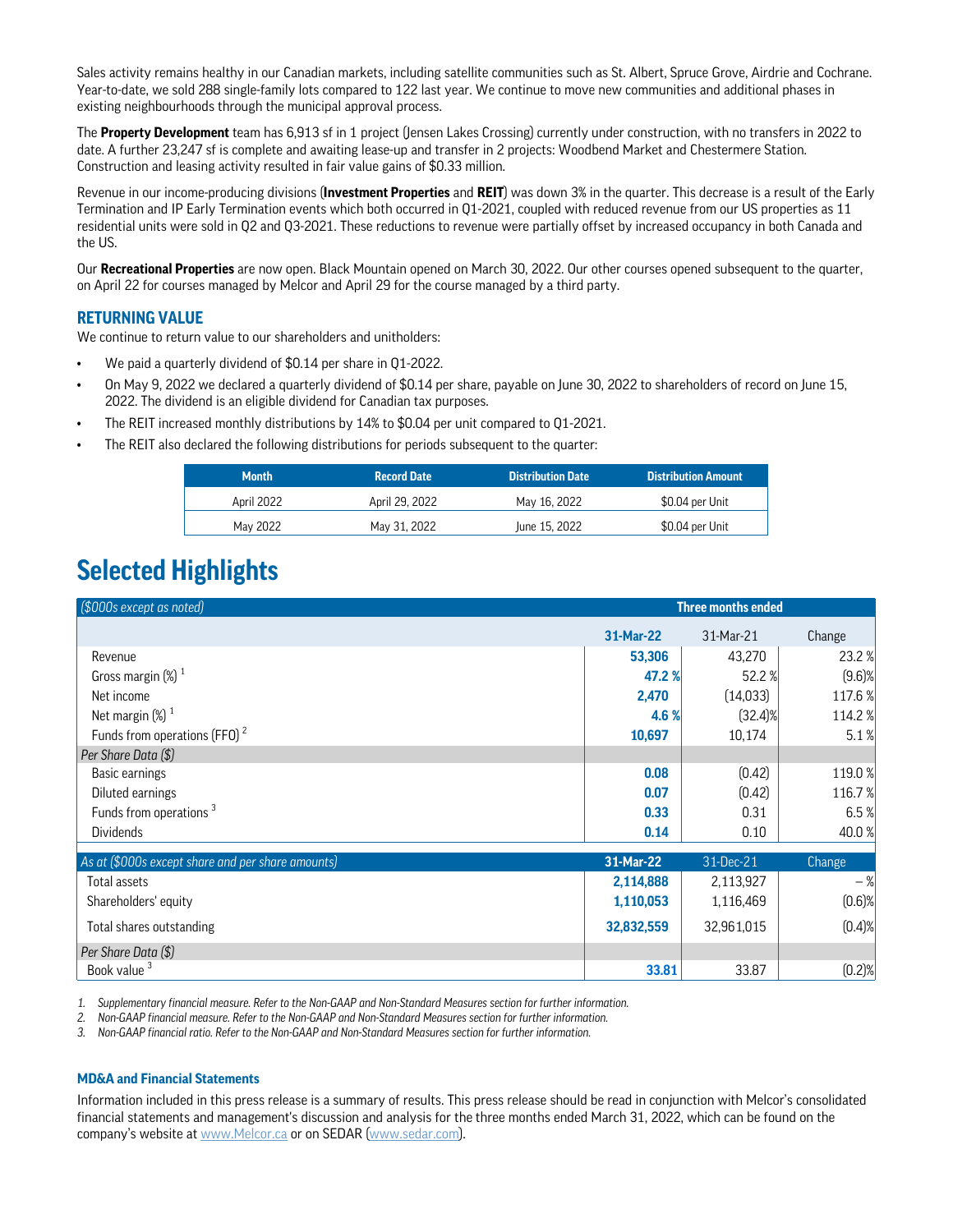Sales activity remains healthy in our Canadian markets, including satellite communities such as St. Albert, Spruce Grove, Airdrie and Cochrane. Year-to-date, we sold 288 single-family lots compared to 122 last year. We continue to move new communities and additional phases in existing neighbourhoods through the municipal approval process.

The **Property Development** team has 6,913 sf in 1 project (Jensen Lakes Crossing) currently under construction, with no transfers in 2022 to date. A further 23,247 sf is complete and awaiting lease-up and transfer in 2 projects: Woodbend Market and Chestermere Station. Construction and leasing activity resulted in fair value gains of \$0.33 million.

Revenue in our income-producing divisions (**Investment Properties** and **REIT**) was down 3% in the quarter. This decrease is a result of the Early Termination and IP Early Termination events which both occurred in Q1-2021, coupled with reduced revenue from our US properties as 11 residential units were sold in Q2 and Q3-2021. These reductions to revenue were partially offset by increased occupancy in both Canada and the US.

Our **Recreational Properties** are now open. Black Mountain opened on March 30, 2022. Our other courses opened subsequent to the quarter, on April 22 for courses managed by Melcor and April 29 for the course managed by a third party.

## **RETURNING VALUE**

We continue to return value to our shareholders and unitholders:

- We paid a quarterly dividend of \$0.14 per share in Q1-2022.
- On May 9, 2022 we declared a quarterly dividend of \$0.14 per share, payable on June 30, 2022 to shareholders of record on June 15, 2022. The dividend is an eligible dividend for Canadian tax purposes.
- The REIT increased monthly distributions by 14% to \$0.04 per unit compared to Q1-2021.
- The REIT also declared the following distributions for periods subsequent to the quarter:

| <b>Month</b> | <b>Record Date</b> | <b>Distribution Date</b> | ' Distribution Amount . |
|--------------|--------------------|--------------------------|-------------------------|
| April 2022   | April 29, 2022     | May 16, 2022             | \$0.04 per Unit         |
| May 2022     | May 31, 2022       | June 15, 2022            | \$0.04 per Unit         |

## **Selected Highlights**

| (\$000s except as noted)                          | <b>Three months ended</b> |            |           |
|---------------------------------------------------|---------------------------|------------|-----------|
|                                                   | 31-Mar-22                 | 31-Mar-21  | Change    |
| Revenue                                           | 53,306                    | 43,270     | 23.2 %    |
| Gross margin $(\%)$ <sup>1</sup>                  | 47.2 %                    | 52.2 %     | $(9.6)$ % |
| Net income                                        | 2,470                     | (14,033)   | 117.6 %   |
| Net margin $(\%)$ <sup>1</sup>                    | 4.6 %                     | $(32.4)\%$ | 114.2 %   |
| Funds from operations (FFO) <sup>2</sup>          | 10,697                    | 10,174     | 5.1%      |
| Per Share Data (\$)                               |                           |            |           |
| Basic earnings                                    | 0.08                      | (0.42)     | 119.0 %   |
| Diluted earnings                                  | 0.07                      | (0.42)     | 116.7%    |
| Funds from operations <sup>3</sup>                | 0.33                      | 0.31       | 6.5%      |
| <b>Dividends</b>                                  | 0.14                      | 0.10       | 40.0 %    |
| As at (\$000s except share and per share amounts) | 31-Mar-22                 | 31-Dec-21  | Change    |
| Total assets                                      | 2,114,888                 | 2,113,927  | $-$ %     |
| Shareholders' equity                              | 1,110,053                 | 1,116,469  | $(0.6)$ % |
| Total shares outstanding                          | 32,832,559                | 32,961,015 | $(0.4)$ % |
| Per Share Data (\$)                               |                           |            |           |
| Book value <sup>3</sup>                           | 33.81                     | 33.87      | $(0.2)$ % |

*1. Supplementary financial measure. Refer to the Non-GAAP and Non-Standard Measures section for further information.*

*2. Non-GAAP financial measure. Refer to the Non-GAAP and Non-Standard Measures section for further information.*

*3. Non-GAAP financial ratio. Refer to the Non-GAAP and Non-Standard Measures section for further information.*

#### **MD&A and Financial Statements**

Information included in this press release is a summary of results. This press release should be read in conjunction with Melcor's consolidated financial statements and management's discussion and analysis for the three months ended March 31, 2022, which can be found on the company's website at www.Melcor.ca or on SEDAR (www.sedar.com).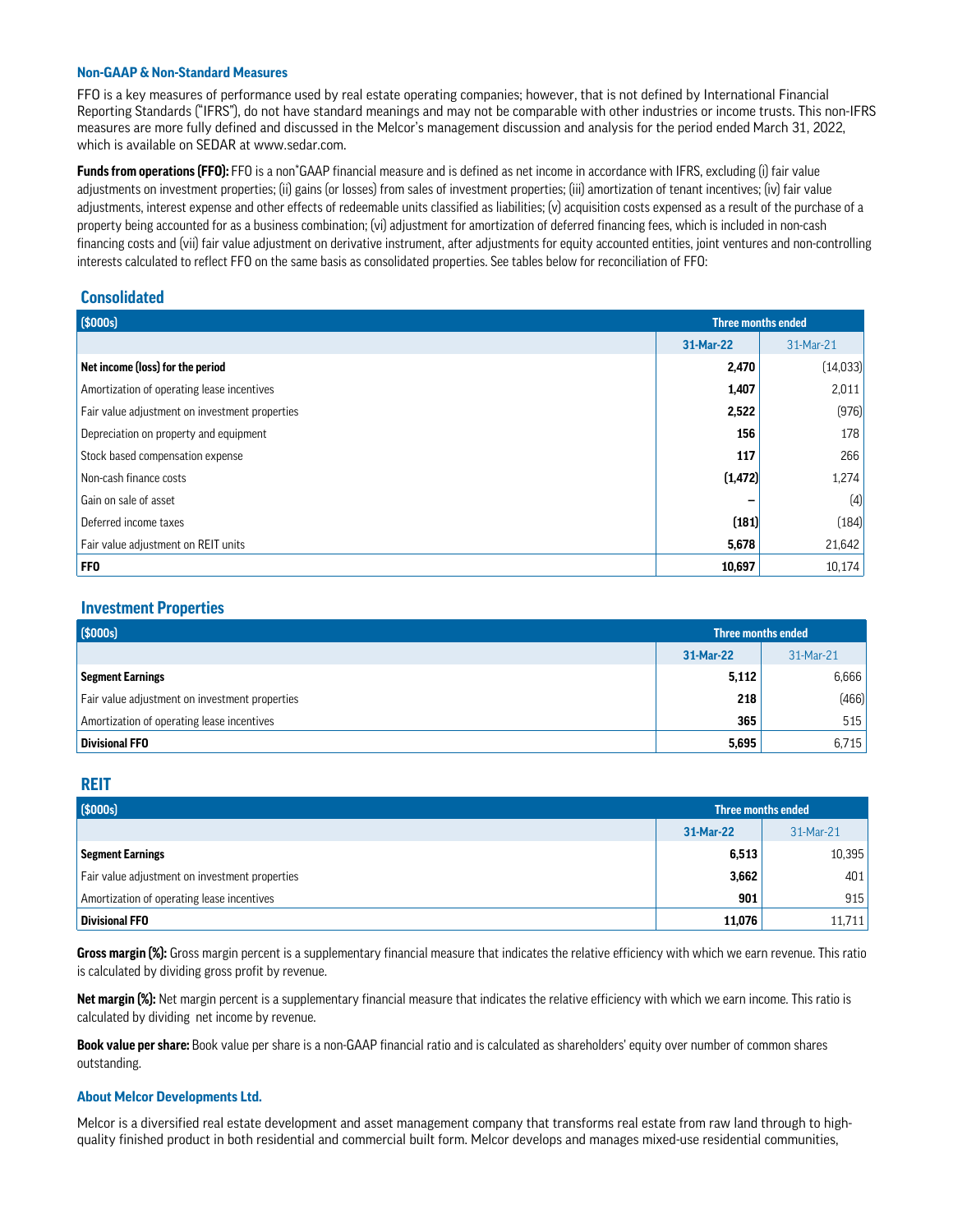#### **Non-GAAP & Non-Standard Measures**

FFO is a key measures of performance used by real estate operating companies; however, that is not defined by International Financial Reporting Standards ("IFRS"), do not have standard meanings and may not be comparable with other industries or income trusts. This non-IFRS measures are more fully defined and discussed in the Melcor's management discussion and analysis for the period ended March 31, 2022, which is available on SEDAR at www.sedar.com.

Funds from operations (FFO): FFO is a non<sup>\*</sup>GAAP financial measure and is defined as net income in accordance with IFRS, excluding (i) fair value adjustments on investment properties; (ii) gains (or losses) from sales of investment properties; (iii) amortization of tenant incentives; (iv) fair value adjustments, interest expense and other effects of redeemable units classified as liabilities; (v) acquisition costs expensed as a result of the purchase of a property being accounted for as a business combination; (vi) adjustment for amortization of deferred financing fees, which is included in non-cash financing costs and (vii) fair value adjustment on derivative instrument, after adjustments for equity accounted entities, joint ventures and non-controlling interests calculated to reflect FFO on the same basis as consolidated properties. See tables below for reconciliation of FFO:

## **Consolidated**

| (\$000s)                                       | Three months ended |           |
|------------------------------------------------|--------------------|-----------|
|                                                | 31-Mar-22          | 31-Mar-21 |
| Net income (loss) for the period               |                    | (14,033)  |
| Amortization of operating lease incentives     | 1,407              | 2,011     |
| Fair value adjustment on investment properties | 2,522              | (976)     |
| Depreciation on property and equipment         | 156                | 178       |
| Stock based compensation expense               | 117                | 266       |
| Non-cash finance costs                         | (1, 472)           | 1,274     |
| Gain on sale of asset                          |                    | (4)       |
| Deferred income taxes                          | (181)              | (184)     |
| Fair value adjustment on REIT units            | 5,678              | 21,642    |
| <b>FFO</b>                                     | 10,697             | 10,174    |

### **Investment Properties**

| Three months ended                             |           |           |
|------------------------------------------------|-----------|-----------|
|                                                | 31-Mar-22 | 31-Mar-21 |
| <b>Segment Earnings</b>                        | 5,112     | 6,666     |
| Fair value adjustment on investment properties | 218       | (466)     |
| Amortization of operating lease incentives     | 365       | 515       |
| <b>Divisional FFO</b>                          | 5,695     | 6,715     |

### **REIT**

| (\$000s)                                       | <b>Three months ended</b> |           |
|------------------------------------------------|---------------------------|-----------|
|                                                | 31-Mar-22                 | 31-Mar-21 |
| <b>Segment Earnings</b>                        | 6,513                     | 10,395    |
| Fair value adjustment on investment properties | 3,662                     | 401       |
| Amortization of operating lease incentives     | 901                       | 915       |
| <b>Divisional FFO</b>                          | 11,076                    | 11,711    |

**Gross margin (%):** Gross margin percent is a supplementary financial measure that indicates the relative efficiency with which we earn revenue. This ratio is calculated by dividing gross profit by revenue.

**Net margin (%):** Net margin percent is a supplementary financial measure that indicates the relative efficiency with which we earn income. This ratio is calculated by dividing net income by revenue.

**Book value per share:** Book value per share is a non-GAAP financial ratio and is calculated as shareholders' equity over number of common shares outstanding.

#### **About Melcor Developments Ltd.**

Melcor is a diversified real estate development and asset management company that transforms real estate from raw land through to highquality finished product in both residential and commercial built form. Melcor develops and manages mixed-use residential communities,